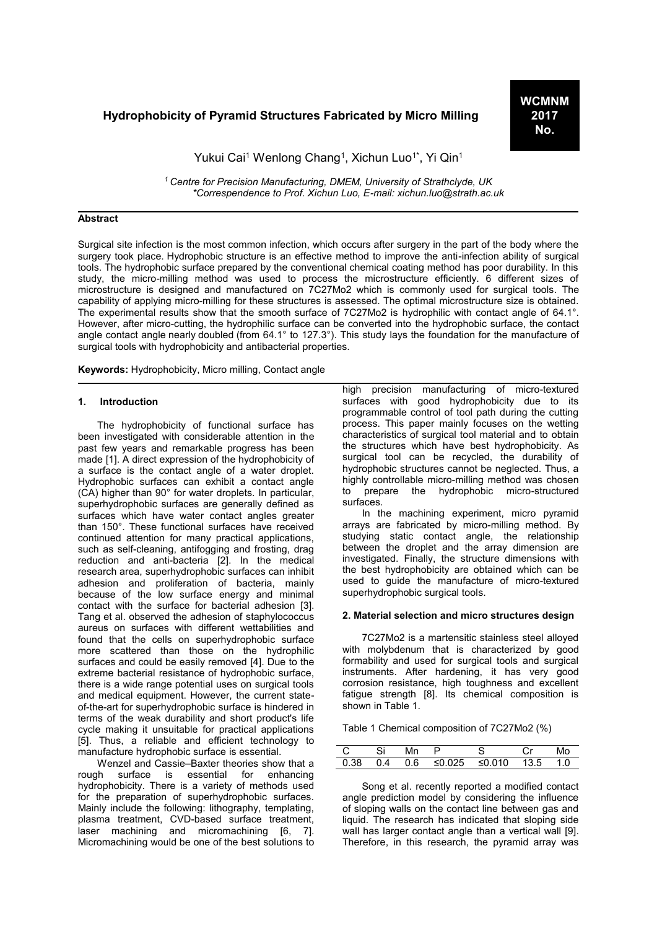# **Hydrophobicity of Pyramid Structures Fabricated by Micro Milling**

Yukui Cai<sup>1</sup> Wenlong Chang<sup>1</sup>, Xichun Luo<sup>1\*</sup>, Yi Qin<sup>1</sup>

*<sup>1</sup>Centre for Precision Manufacturing, DMEM, University of Strathclyde, UK \*Correspendence to Prof. Xichun Luo, E-mail: xichun.luo@strath.ac.uk*

#### **Abstract**

Surgical site infection is the most common infection, which occurs after surgery in the part of the body where the surgery took place. Hydrophobic structure is an effective method to improve the anti-infection ability of surgical tools. The hydrophobic surface prepared by the conventional chemical coating method has poor durability. In this study, the micro-milling method was used to process the microstructure efficiently. 6 different sizes of microstructure is designed and manufactured on 7C27Mo2 which is commonly used for surgical tools. The capability of applying micro-milling for these structures is assessed. The optimal microstructure size is obtained. The experimental results show that the smooth surface of 7C27Mo2 is hydrophilic with contact angle of 64.1°. However, after micro-cutting, the hydrophilic surface can be converted into the hydrophobic surface, the contact angle contact angle nearly doubled (from 64.1° to 127.3°). This study lays the foundation for the manufacture of surgical tools with hydrophobicity and antibacterial properties.

**Keywords:** Hydrophobicity, Micro milling, Contact angle

#### **1. Introduction**

The hydrophobicity of functional surface has been investigated with considerable attention in the past few years and remarkable progress has been made [1]. A direct expression of the hydrophobicity of a surface is the contact angle of a water droplet. Hydrophobic surfaces can exhibit a contact angle (CA) higher than 90° for water droplets. In particular, superhydrophobic surfaces are generally defined as surfaces which have water contact angles greater than 150°. These functional surfaces have received continued attention for many practical applications, such as self-cleaning, antifogging and frosting, drag reduction and anti-bacteria [2]. In the medical research area, superhydrophobic surfaces can inhibit adhesion and proliferation of bacteria, mainly because of the low surface energy and minimal contact with the surface for bacterial adhesion [3]. Tang et al. observed the adhesion of staphylococcus aureus on surfaces with different wettabilities and found that the cells on superhydrophobic surface more scattered than those on the hydrophilic surfaces and could be easily removed [4]. Due to the extreme bacterial resistance of hydrophobic surface, there is a wide range potential uses on surgical tools and medical equipment. However, the current stateof-the-art for superhydrophobic surface is hindered in terms of the weak durability and short product's life cycle making it unsuitable for practical applications [5]. Thus, a reliable and efficient technology to manufacture hydrophobic surface is essential.

Wenzel and Cassie–Baxter theories show that a rough surface is essential for enhancing hydrophobicity. There is a variety of methods used for the preparation of superhydrophobic surfaces. Mainly include the following: lithography, templating, plasma treatment, CVD-based surface treatment, laser machining and micromachining [6, 7]. Micromachining would be one of the best solutions to

high precision manufacturing of micro-textured surfaces with good hydrophobicity due to its programmable control of tool path during the cutting process. This paper mainly focuses on the wetting characteristics of surgical tool material and to obtain the structures which have best hydrophobicity. As surgical tool can be recycled, the durability of hydrophobic structures cannot be neglected. Thus, a highly controllable micro-milling method was chosen to prepare the hydrophobic micro-structured surfaces.

In the machining experiment, micro pyramid arrays are fabricated by micro-milling method. By studying static contact angle, the relationship between the droplet and the array dimension are investigated. Finally, the structure dimensions with the best hydrophobicity are obtained which can be used to guide the manufacture of micro-textured superhydrophobic surgical tools.

#### **2. Material selection and micro structures design**

7C27Mo2 is a martensitic stainless steel alloyed with molybdenum that is characterized by good formability and used for surgical tools and surgical instruments. After hardening, it has very good corrosion resistance, high toughness and excellent fatigue strength [8]. Its chemical composition is shown in Table 1.

Table 1 Chemical composition of 7C27Mo2 (%)

| - C | - 80 |                                                   |  | MO |
|-----|------|---------------------------------------------------|--|----|
|     |      | $0.38$ 0.4 0.6 $\leq 0.025$ $\leq 0.010$ 13.5 1.0 |  |    |

Song et al. recently reported a modified contact angle prediction model by considering the influence of sloping walls on the contact line between gas and liquid. The research has indicated that sloping side wall has larger contact angle than a vertical wall [9]. Therefore, in this research, the pyramid array was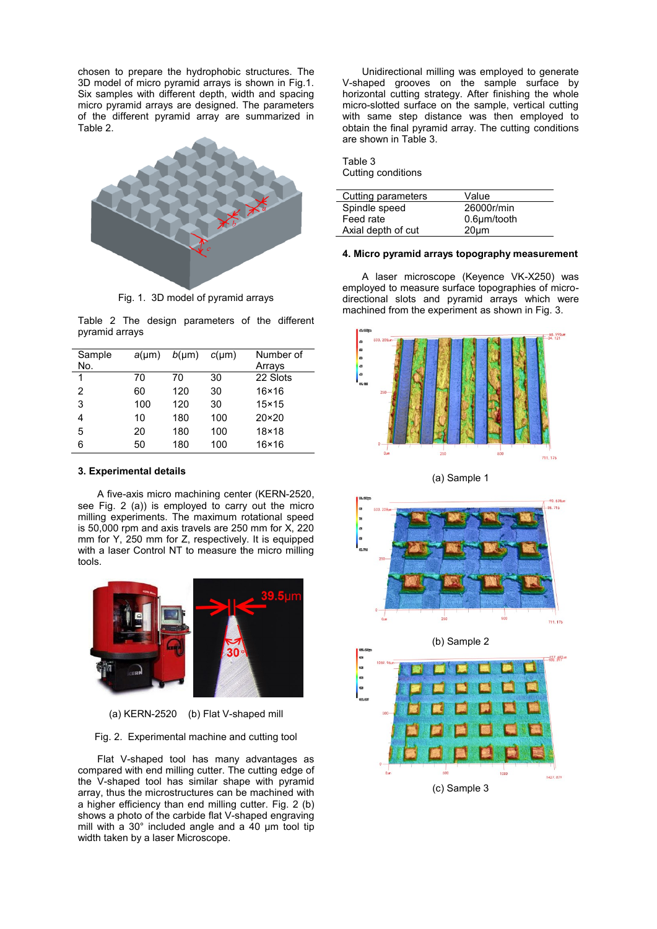chosen to prepare the hydrophobic structures. The 3D model of micro pyramid arrays is shown in Fig.1. Six samples with different depth, width and spacing micro pyramid arrays are designed. The parameters of the different pyramid array are summarized in Table 2.



Fig. 1. 3D model of pyramid arrays

Table 2 The design parameters of the different pyramid arrays

| Sample<br>No. | $a(\mu m)$ | $b(\mu m)$ | $c(\mu m)$ | Number of<br>Arrays |
|---------------|------------|------------|------------|---------------------|
| 1             | 70         | 70         | 30         | 22 Slots            |
| 2             | 60         | 120        | 30         | $16\times 16$       |
| 3             | 100        | 120        | 30         | $15\times 15$       |
| 4             | 10         | 180        | 100        | $20 \times 20$      |
| 5             | 20         | 180        | 100        | 18×18               |
| 6             | 50         | 180        | 100        | $16\times 16$       |

#### **3. Experimental details**

A five-axis micro machining center (KERN-2520, see Fig. 2 (a)) is employed to carry out the micro milling experiments. The maximum rotational speed is 50,000 rpm and axis travels are 250 mm for X, 220 mm for Y, 250 mm for Z, respectively. It is equipped with a laser Control NT to measure the micro milling tools.



(a) KERN-2520 (b) Flat V-shaped mill

#### Fig. 2. Experimental machine and cutting tool

Flat V-shaped tool has many advantages as compared with end milling cutter. The cutting edge of the V-shaped tool has similar shape with pyramid array, thus the microstructures can be machined with a higher efficiency than end milling cutter. Fig. 2 (b) shows a photo of the carbide flat V-shaped engraving mill with a 30° included angle and a 40 μm tool tip width taken by a laser Microscope.

Unidirectional milling was employed to generate V-shaped grooves on the sample surface by horizontal cutting strategy. After finishing the whole micro-slotted surface on the sample, vertical cutting with same step distance was then employed to obtain the final pyramid array. The cutting conditions are shown in Table 3.

| Table 3 |                    |
|---------|--------------------|
|         | Cutting conditions |

| Cutting parameters | Value              |
|--------------------|--------------------|
| Spindle speed      | 26000r/min         |
| Feed rate          | $0.6 \mu m$ /tooth |
| Axial depth of cut | $20 \mu m$         |

#### **4. Micro pyramid arrays topography measurement**

A laser microscope (Keyence VK-X250) was employed to measure surface topographies of microdirectional slots and pyramid arrays which were machined from the experiment as shown in Fig. 3.



(a) Sample 1



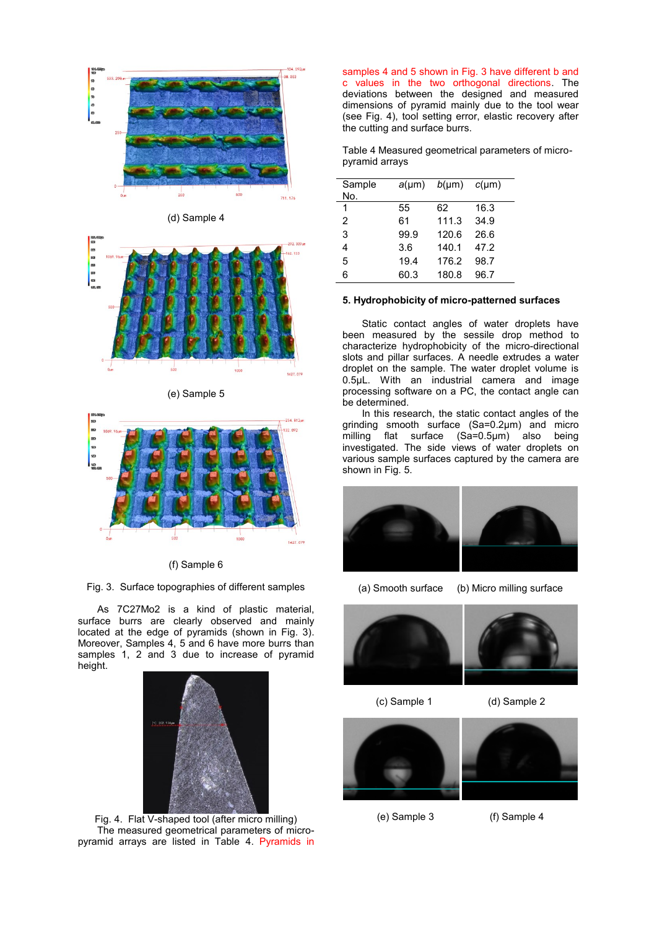

(d) Sample 4



(e) Sample 5



(f) Sample 6

Fig. 3. Surface topographies of different samples

As 7C27Mo2 is a kind of plastic material, surface burrs are clearly observed and mainly located at the edge of pyramids (shown in Fig. 3). Moreover, Samples 4, 5 and 6 have more burrs than samples 1, 2 and 3 due to increase of pyramid height.



Fig. 4. Flat V-shaped tool (after micro milling) The measured geometrical parameters of micropyramid arrays are listed in Table 4. Pyramids in

samples 4 and 5 shown in Fig. 3 have different b and c values in the two orthogonal directions. The deviations between the designed and measured dimensions of pyramid mainly due to the tool wear (see Fig. 4), tool setting error, elastic recovery after the cutting and surface burrs.

Table 4 Measured geometrical parameters of micropyramid arrays

| Sample<br>No.  | $a(\mu m)$ | $b(\mu m)$ | $c(\mu m)$ |
|----------------|------------|------------|------------|
| 1              | 55         | 62         | 16.3       |
| $\overline{2}$ | 61         | 111.3      | 34.9       |
| 3              | 99.9       | 120.6      | 26.6       |
| 4              | 3.6        | 140.1      | 47.2       |
| 5              | 19.4       | 176.2      | 98.7       |
| 6              | 60.3       | 180.8      | 96.7       |
|                |            |            |            |

#### **5. Hydrophobicity of micro-patterned surfaces**

Static contact angles of water droplets have been measured by the sessile drop method to characterize hydrophobicity of the micro-directional slots and pillar surfaces. A needle extrudes a water droplet on the sample. The water droplet volume is 0.5μL. With an industrial camera and image processing software on a PC, the contact angle can be determined.

In this research, the static contact angles of the grinding smooth surface (Sa=0.2μm) and micro milling flat surface (Sa=0.5µm) also being investigated. The side views of water droplets on various sample surfaces captured by the camera are shown in Fig. 5.



(a) Smooth surface (b) Micro milling surface



(c) Sample 1 (d) Sample 2



(e) Sample 3 (f) Sample 4